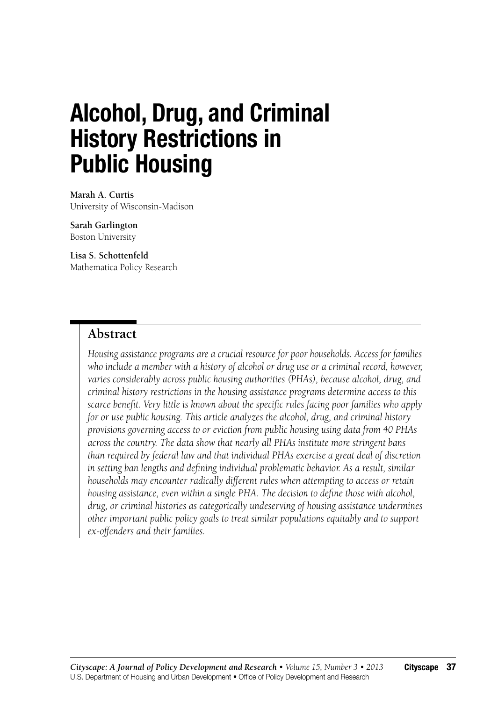# **Alcohol, Drug, and Criminal History Restrictions in Public Housing**

**Marah A. Curtis** University of Wisconsin-Madison

**Sarah Garlington** Boston University

**Lisa S. Schottenfeld** Mathematica Policy Research

### **Abstract**

*Housing assistance programs are a crucial resource for poor households. Access for families who include a member with a history of alcohol or drug use or a criminal record, however, varies considerably across public housing authorities (PHAs), because alcohol, drug, and criminal history restrictions in the housing assistance programs determine access to this scarce benefit. Very little is known about the specific rules facing poor families who apply for or use public housing. This article analyzes the alcohol, drug, and criminal history provisions governing access to or eviction from public housing using data from 40 PHAs across the country. The data show that nearly all PHAs institute more stringent bans than required by federal law and that individual PHAs exercise a great deal of discretion in setting ban lengths and defining individual problematic behavior. As a result, similar households may encounter radically different rules when attempting to access or retain housing assistance, even within a single PHA. The decision to define those with alcohol, drug, or criminal histories as categorically undeserving of housing assistance undermines other important public policy goals to treat similar populations equitably and to support ex-offenders and their families.*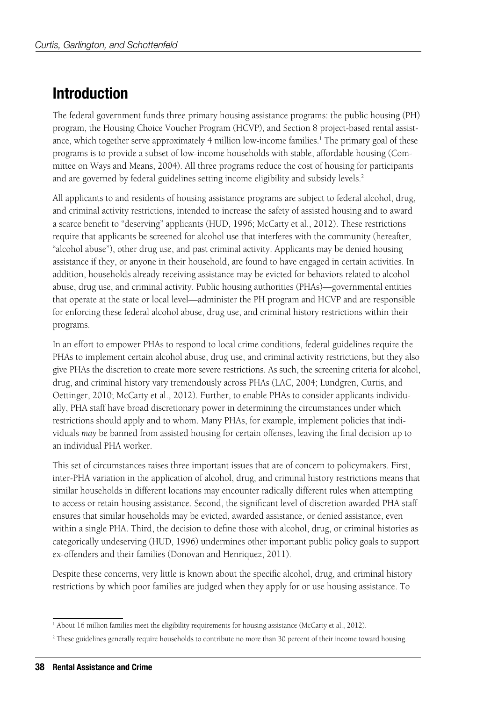## **Introduction**

The federal government funds three primary housing assistance programs: the public housing (PH) program, the Housing Choice Voucher Program (HCVP), and Section 8 project-based rental assistance, which together serve approximately 4 million low-income families.<sup>1</sup> The primary goal of these programs is to provide a subset of low-income households with stable, affordable housing (Committee on Ways and Means, 2004). All three programs reduce the cost of housing for participants and are governed by federal guidelines setting income eligibility and subsidy levels.<sup>2</sup>

All applicants to and residents of housing assistance programs are subject to federal alcohol, drug, and criminal activity restrictions, intended to increase the safety of assisted housing and to award a scarce benefit to "deserving" applicants (HUD, 1996; McCarty et al., 2012). These restrictions require that applicants be screened for alcohol use that interferes with the community (hereafter, "alcohol abuse"), other drug use, and past criminal activity. Applicants may be denied housing assistance if they, or anyone in their household, are found to have engaged in certain activities. In addition, households already receiving assistance may be evicted for behaviors related to alcohol abuse, drug use, and criminal activity. Public housing authorities (PHAs)—governmental entities that operate at the state or local level—administer the PH program and HCVP and are responsible for enforcing these federal alcohol abuse, drug use, and criminal history restrictions within their programs.

In an effort to empower PHAs to respond to local crime conditions, federal guidelines require the PHAs to implement certain alcohol abuse, drug use, and criminal activity restrictions, but they also give PHAs the discretion to create more severe restrictions. As such, the screening criteria for alcohol, drug, and criminal history vary tremendously across PHAs (LAC, 2004; Lundgren, Curtis, and Oettinger, 2010; McCarty et al., 2012). Further, to enable PHAs to consider applicants individually, PHA staff have broad discretionary power in determining the circumstances under which restrictions should apply and to whom. Many PHAs, for example, implement policies that individuals *may* be banned from assisted housing for certain offenses, leaving the final decision up to an individual PHA worker.

This set of circumstances raises three important issues that are of concern to policymakers. First, inter-PHA variation in the application of alcohol, drug, and criminal history restrictions means that similar households in different locations may encounter radically different rules when attempting to access or retain housing assistance. Second, the significant level of discretion awarded PHA staff ensures that similar households may be evicted, awarded assistance, or denied assistance, even within a single PHA. Third, the decision to define those with alcohol, drug, or criminal histories as categorically undeserving (HUD, 1996) undermines other important public policy goals to support ex-offenders and their families (Donovan and Henriquez, 2011).

Despite these concerns, very little is known about the specific alcohol, drug, and criminal history restrictions by which poor families are judged when they apply for or use housing assistance. To

<sup>&</sup>lt;sup>1</sup> About 16 million families meet the eligibility requirements for housing assistance (McCarty et al., 2012).

<sup>2</sup> These guidelines generally require households to contribute no more than 30 percent of their income toward housing.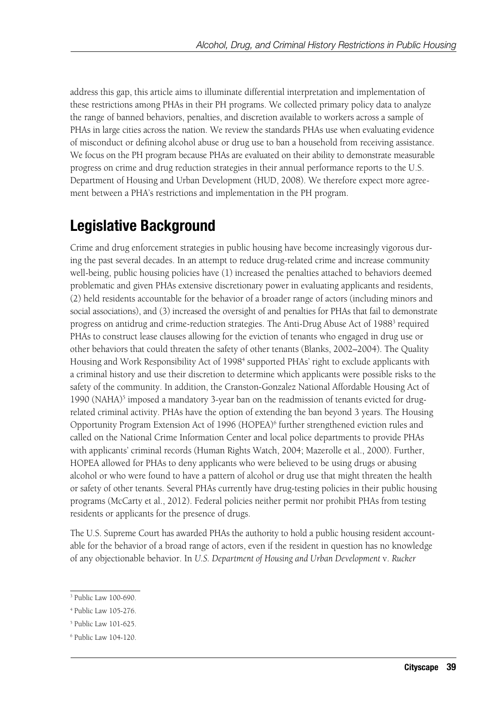address this gap, this article aims to illuminate differential interpretation and implementation of these restrictions among PHAs in their PH programs. We collected primary policy data to analyze the range of banned behaviors, penalties, and discretion available to workers across a sample of PHAs in large cities across the nation. We review the standards PHAs use when evaluating evidence of misconduct or defining alcohol abuse or drug use to ban a household from receiving assistance. We focus on the PH program because PHAs are evaluated on their ability to demonstrate measurable progress on crime and drug reduction strategies in their annual performance reports to the U.S. Department of Housing and Urban Development (HUD, 2008). We therefore expect more agreement between a PHA's restrictions and implementation in the PH program.

## **Legislative Background**

Crime and drug enforcement strategies in public housing have become increasingly vigorous during the past several decades. In an attempt to reduce drug-related crime and increase community well-being, public housing policies have (1) increased the penalties attached to behaviors deemed problematic and given PHAs extensive discretionary power in evaluating applicants and residents, (2) held residents accountable for the behavior of a broader range of actors (including minors and social associations), and (3) increased the oversight of and penalties for PHAs that fail to demonstrate progress on antidrug and crime-reduction strategies. The Anti-Drug Abuse Act of 1988<sup>3</sup> required PHAs to construct lease clauses allowing for the eviction of tenants who engaged in drug use or other behaviors that could threaten the safety of other tenants (Blanks, 2002–2004). The Quality Housing and Work Responsibility Act of 1998<sup>4</sup> supported PHAs' right to exclude applicants with a criminal history and use their discretion to determine which applicants were possible risks to the safety of the community. In addition, the Cranston-Gonzalez National Affordable Housing Act of 1990 (NAHA)<sup>5</sup> imposed a mandatory 3-year ban on the readmission of tenants evicted for drugrelated criminal activity. PHAs have the option of extending the ban beyond 3 years. The Housing Opportunity Program Extension Act of 1996 (HOPEA)<sup>6</sup> further strengthened eviction rules and called on the National Crime Information Center and local police departments to provide PHAs with applicants' criminal records (Human Rights Watch, 2004; Mazerolle et al., 2000). Further, HOPEA allowed for PHAs to deny applicants who were believed to be using drugs or abusing alcohol or who were found to have a pattern of alcohol or drug use that might threaten the health or safety of other tenants. Several PHAs currently have drug-testing policies in their public housing programs (McCarty et al., 2012). Federal policies neither permit nor prohibit PHAs from testing residents or applicants for the presence of drugs.

The U.S. Supreme Court has awarded PHAs the authority to hold a public housing resident accountable for the behavior of a broad range of actors, even if the resident in question has no knowledge of any objectionable behavior. In *U.S. Department of Housing and Urban Development* v. *Rucker*

<sup>3</sup> Public Law 100-690.

<sup>4</sup> Public Law 105-276.

<sup>5</sup> Public Law 101-625.

<sup>6</sup> Public Law 104-120.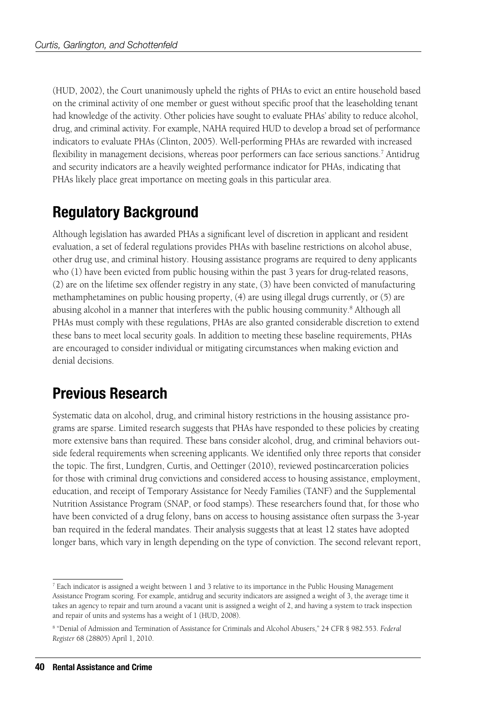(HUD, 2002), the Court unanimously upheld the rights of PHAs to evict an entire household based on the criminal activity of one member or guest without specific proof that the leaseholding tenant had knowledge of the activity. Other policies have sought to evaluate PHAs' ability to reduce alcohol, drug, and criminal activity. For example, NAHA required HUD to develop a broad set of performance indicators to evaluate PHAs (Clinton, 2005). Well-performing PHAs are rewarded with increased flexibility in management decisions, whereas poor performers can face serious sanctions.<sup>7</sup> Antidrug and security indicators are a heavily weighted performance indicator for PHAs, indicating that PHAs likely place great importance on meeting goals in this particular area.

## **Regulatory Background**

Although legislation has awarded PHAs a significant level of discretion in applicant and resident evaluation, a set of federal regulations provides PHAs with baseline restrictions on alcohol abuse, other drug use, and criminal history. Housing assistance programs are required to deny applicants who (1) have been evicted from public housing within the past 3 years for drug-related reasons, (2) are on the lifetime sex offender registry in any state, (3) have been convicted of manufacturing methamphetamines on public housing property, (4) are using illegal drugs currently, or (5) are abusing alcohol in a manner that interferes with the public housing community.<sup>8</sup> Although all PHAs must comply with these regulations, PHAs are also granted considerable discretion to extend these bans to meet local security goals. In addition to meeting these baseline requirements, PHAs are encouraged to consider individual or mitigating circumstances when making eviction and denial decisions.

## **Previous Research**

Systematic data on alcohol, drug, and criminal history restrictions in the housing assistance programs are sparse. Limited research suggests that PHAs have responded to these policies by creating more extensive bans than required. These bans consider alcohol, drug, and criminal behaviors outside federal requirements when screening applicants. We identified only three reports that consider the topic. The first, Lundgren, Curtis, and Oettinger (2010), reviewed postincarceration policies for those with criminal drug convictions and considered access to housing assistance, employment, education, and receipt of Temporary Assistance for Needy Families (TANF) and the Supplemental Nutrition Assistance Program (SNAP, or food stamps). These researchers found that, for those who have been convicted of a drug felony, bans on access to housing assistance often surpass the 3-year ban required in the federal mandates. Their analysis suggests that at least 12 states have adopted longer bans, which vary in length depending on the type of conviction. The second relevant report,

<sup>7</sup> Each indicator is assigned a weight between 1 and 3 relative to its importance in the Public Housing Management Assistance Program scoring. For example, antidrug and security indicators are assigned a weight of 3, the average time it takes an agency to repair and turn around a vacant unit is assigned a weight of 2, and having a system to track inspection and repair of units and systems has a weight of 1 (HUD, 2008).

<sup>8</sup> "Denial of Admission and Termination of Assistance for Criminals and Alcohol Abusers," 24 CFR § 982.553. *Federal Register* 68 (28805) April 1, 2010.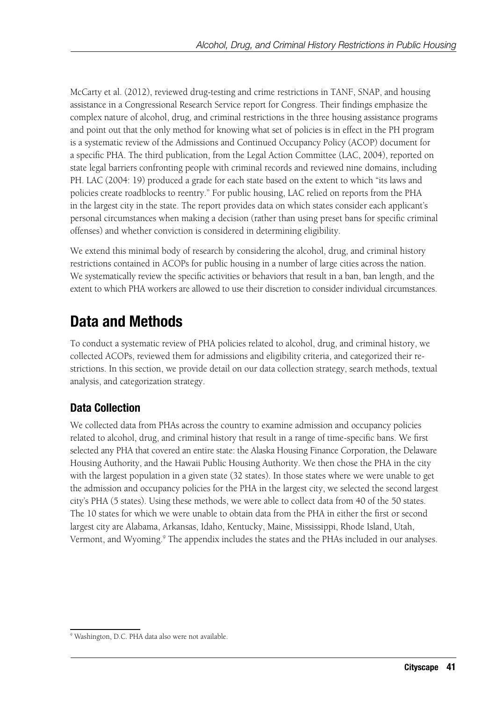McCarty et al. (2012), reviewed drug-testing and crime restrictions in TANF, SNAP, and housing assistance in a Congressional Research Service report for Congress. Their findings emphasize the complex nature of alcohol, drug, and criminal restrictions in the three housing assistance programs and point out that the only method for knowing what set of policies is in effect in the PH program is a systematic review of the Admissions and Continued Occupancy Policy (ACOP) document for a specific PHA. The third publication, from the Legal Action Committee (LAC, 2004), reported on state legal barriers confronting people with criminal records and reviewed nine domains, including PH. LAC (2004: 19) produced a grade for each state based on the extent to which "its laws and policies create roadblocks to reentry." For public housing, LAC relied on reports from the PHA in the largest city in the state. The report provides data on which states consider each applicant's personal circumstances when making a decision (rather than using preset bans for specific criminal offenses) and whether conviction is considered in determining eligibility.

We extend this minimal body of research by considering the alcohol, drug, and criminal history restrictions contained in ACOPs for public housing in a number of large cities across the nation. We systematically review the specific activities or behaviors that result in a ban, ban length, and the extent to which PHA workers are allowed to use their discretion to consider individual circumstances.

## **Data and Methods**

To conduct a systematic review of PHA policies related to alcohol, drug, and criminal history, we collected ACOPs, reviewed them for admissions and eligibility criteria, and categorized their restrictions. In this section, we provide detail on our data collection strategy, search methods, textual analysis, and categorization strategy.

### **Data Collection**

We collected data from PHAs across the country to examine admission and occupancy policies related to alcohol, drug, and criminal history that result in a range of time-specific bans. We first selected any PHA that covered an entire state: the Alaska Housing Finance Corporation, the Delaware Housing Authority, and the Hawaii Public Housing Authority. We then chose the PHA in the city with the largest population in a given state (32 states). In those states where we were unable to get the admission and occupancy policies for the PHA in the largest city, we selected the second largest city's PHA (5 states). Using these methods, we were able to collect data from 40 of the 50 states. The 10 states for which we were unable to obtain data from the PHA in either the first or second largest city are Alabama, Arkansas, Idaho, Kentucky, Maine, Mississippi, Rhode Island, Utah, Vermont, and Wyoming.<sup>9</sup> The appendix includes the states and the PHAs included in our analyses.

<sup>9</sup> Washington, D.C. PHA data also were not available.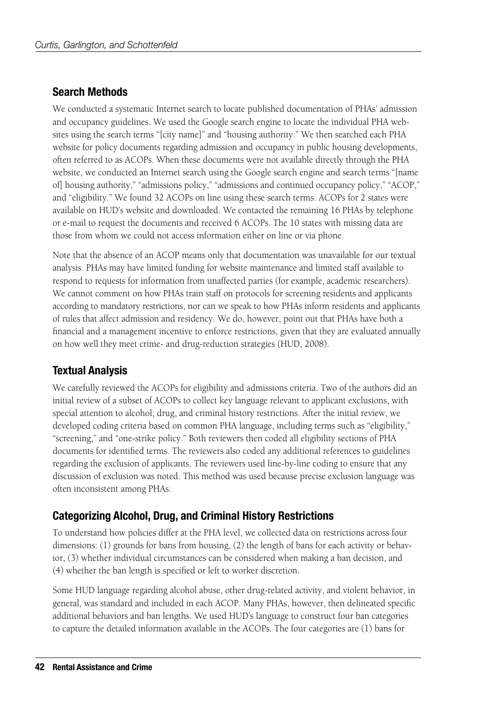### **Search Methods**

We conducted a systematic Internet search to locate published documentation of PHAs' admission and occupancy guidelines. We used the Google search engine to locate the individual PHA websites using the search terms "[city name]" and "housing authority." We then searched each PHA website for policy documents regarding admission and occupancy in public housing developments, often referred to as ACOPs. When these documents were not available directly through the PHA website, we conducted an Internet search using the Google search engine and search terms "[name of] housing authority," "admissions policy," "admissions and continued occupancy policy," "ACOP," and "eligibility." We found 32 ACOPs on line using these search terms. ACOPs for 2 states were available on HUD's website and downloaded. We contacted the remaining 16 PHAs by telephone or e-mail to request the documents and received 6 ACOPs. The 10 states with missing data are those from whom we could not access information either on line or via phone.

Note that the absence of an ACOP means only that documentation was unavailable for our textual analysis. PHAs may have limited funding for website maintenance and limited staff available to respond to requests for information from unaffected parties (for example, academic researchers). We cannot comment on how PHAs train staff on protocols for screening residents and applicants according to mandatory restrictions, nor can we speak to how PHAs inform residents and applicants of rules that affect admission and residency. We do, however, point out that PHAs have both a financial and a management incentive to enforce restrictions, given that they are evaluated annually on how well they meet crime- and drug-reduction strategies (HUD, 2008).

### **Textual Analysis**

We carefully reviewed the ACOPs for eligibility and admissions criteria. Two of the authors did an initial review of a subset of ACOPs to collect key language relevant to applicant exclusions, with special attention to alcohol, drug, and criminal history restrictions. After the initial review, we developed coding criteria based on common PHA language, including terms such as "eligibility," "screening," and "one-strike policy." Both reviewers then coded all eligibility sections of PHA documents for identified terms. The reviewers also coded any additional references to guidelines regarding the exclusion of applicants. The reviewers used line-by-line coding to ensure that any discussion of exclusion was noted. This method was used because precise exclusion language was often inconsistent among PHAs.

### **Categorizing Alcohol, Drug, and Criminal History Restrictions**

To understand how policies differ at the PHA level, we collected data on restrictions across four dimensions: (1) grounds for bans from housing, (2) the length of bans for each activity or behavior, (3) whether individual circumstances can be considered when making a ban decision, and (4) whether the ban length is specified or left to worker discretion.

Some HUD language regarding alcohol abuse, other drug-related activity, and violent behavior, in general, was standard and included in each ACOP. Many PHAs, however, then delineated specific additional behaviors and ban lengths. We used HUD's language to construct four ban categories to capture the detailed information available in the ACOPs. The four categories are (1) bans for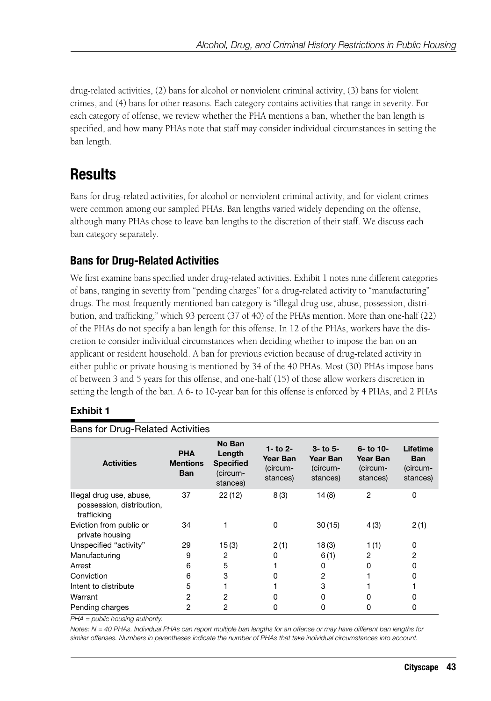drug-related activities, (2) bans for alcohol or nonviolent criminal activity, (3) bans for violent crimes, and (4) bans for other reasons. Each category contains activities that range in severity. For each category of offense, we review whether the PHA mentions a ban, whether the ban length is specified, and how many PHAs note that staff may consider individual circumstances in setting the ban length.

## **Results**

Bans for drug-related activities, for alcohol or nonviolent criminal activity, and for violent crimes were common among our sampled PHAs. Ban lengths varied widely depending on the offense, although many PHAs chose to leave ban lengths to the discretion of their staff. We discuss each ban category separately.

### **Bans for Drug-Related Activities**

We first examine bans specified under drug-related activities. Exhibit 1 notes nine different categories of bans, ranging in severity from "pending charges" for a drug-related activity to "manufacturing" drugs. The most frequently mentioned ban category is "illegal drug use, abuse, possession, distribution, and trafficking," which 93 percent (37 of 40) of the PHAs mention. More than one-half (22) of the PHAs do not specify a ban length for this offense. In 12 of the PHAs, workers have the discretion to consider individual circumstances when deciding whether to impose the ban on an applicant or resident household. A ban for previous eviction because of drug-related activity in either public or private housing is mentioned by 34 of the 40 PHAs. Most (30) PHAs impose bans of between 3 and 5 years for this offense, and one-half (15) of those allow workers discretion in setting the length of the ban. A 6- to 10-year ban for this offense is enforced by 4 PHAs, and 2 PHAs

### **Exhibit 1**

| Bans for Drug-Related Activities                                     |                                             |                                                              |                                              |                                                    |                                                  |                                                |
|----------------------------------------------------------------------|---------------------------------------------|--------------------------------------------------------------|----------------------------------------------|----------------------------------------------------|--------------------------------------------------|------------------------------------------------|
| <b>Activities</b>                                                    | <b>PHA</b><br><b>Mentions</b><br><b>Ban</b> | No Ban<br>Length<br><b>Specified</b><br>(circum-<br>stances) | 1- to 2-<br>Year Ban<br>(circum-<br>stances) | $3 -$ to $5 -$<br>Year Ban<br>(circum-<br>stances) | $6 -$ to 10-<br>Year Ban<br>(circum-<br>stances) | Lifetime<br><b>Ban</b><br>(circum-<br>stances) |
| Illegal drug use, abuse,<br>possession, distribution,<br>trafficking | 37                                          | 22(12)                                                       | 8(3)                                         | 14 (8)                                             | 2                                                | 0                                              |
| Eviction from public or<br>private housing                           | 34                                          |                                                              | 0                                            | 30(15)                                             | 4(3)                                             | 2(1)                                           |
| Unspecified "activity"                                               | 29                                          | 15(3)                                                        | 2(1)                                         | 18(3)                                              | 1(1)                                             | 0                                              |
| Manufacturing                                                        | 9                                           | $\overline{2}$                                               | 0                                            | 6(1)                                               | $\overline{2}$                                   | 2                                              |
| Arrest                                                               | 6                                           | 5                                                            |                                              | 0                                                  | $\Omega$                                         | 0                                              |
| Conviction                                                           | 6                                           | 3                                                            | O                                            | 2                                                  |                                                  | 0                                              |
| Intent to distribute                                                 | 5                                           |                                                              |                                              | 3                                                  |                                                  |                                                |
| Warrant                                                              | 2                                           | 2                                                            | O                                            | 0                                                  | O                                                | 0                                              |
| Pending charges                                                      | 2                                           | 2                                                            | $\Omega$                                     | 0                                                  | ი                                                | 0                                              |

Bans for Drug-Related Activities

*PHA = public housing authority.*

*Notes: N = 40 PHAs. Individual PHAs can report multiple ban lengths for an offense or may have different ban lengths for similar offenses. Numbers in parentheses indicate the number of PHAs that take individual circumstances into account.*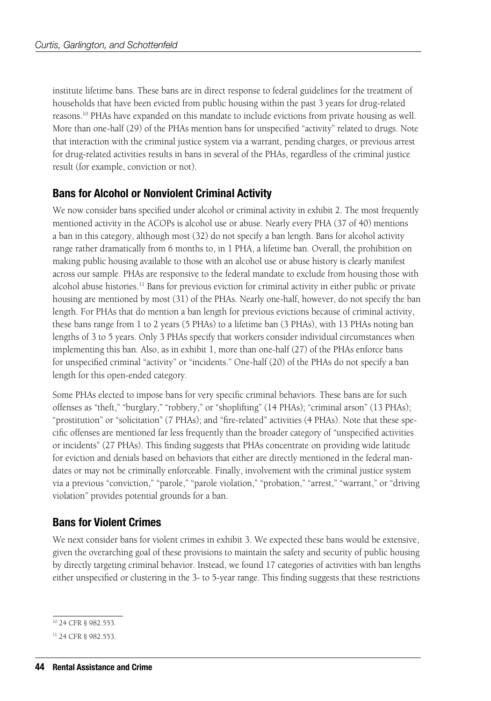institute lifetime bans. These bans are in direct response to federal guidelines for the treatment of households that have been evicted from public housing within the past 3 years for drug-related reasons.10 PHAs have expanded on this mandate to include evictions from private housing as well. More than one-half (29) of the PHAs mention bans for unspecified "activity" related to drugs. Note that interaction with the criminal justice system via a warrant, pending charges, or previous arrest for drug-related activities results in bans in several of the PHAs, regardless of the criminal justice result (for example, conviction or not).

### **Bans for Alcohol or Nonviolent Criminal Activity**

We now consider bans specified under alcohol or criminal activity in exhibit 2. The most frequently mentioned activity in the ACOPs is alcohol use or abuse. Nearly every PHA (37 of 40) mentions a ban in this category, although most (32) do not specify a ban length. Bans for alcohol activity range rather dramatically from 6 months to, in 1 PHA, a lifetime ban. Overall, the prohibition on making public housing available to those with an alcohol use or abuse history is clearly manifest across our sample. PHAs are responsive to the federal mandate to exclude from housing those with alcohol abuse histories.<sup>11</sup> Bans for previous eviction for criminal activity in either public or private housing are mentioned by most (31) of the PHAs. Nearly one-half, however, do not specify the ban length. For PHAs that do mention a ban length for previous evictions because of criminal activity, these bans range from 1 to 2 years (5 PHAs) to a lifetime ban (3 PHAs), with 13 PHAs noting ban lengths of 3 to 5 years. Only 3 PHAs specify that workers consider individual circumstances when implementing this ban. Also, as in exhibit 1, more than one-half (27) of the PHAs enforce bans for unspecified criminal "activity" or "incidents." One-half (20) of the PHAs do not specify a ban length for this open-ended category.

Some PHAs elected to impose bans for very specific criminal behaviors. These bans are for such offenses as "theft," "burglary," "robbery," or "shoplifting" (14 PHAs); "criminal arson" (13 PHAs); "prostitution" or "solicitation" (7 PHAs); and "fire-related" activities (4 PHAs). Note that these specific offenses are mentioned far less frequently than the broader category of "unspecified activities or incidents" (27 PHAs). This finding suggests that PHAs concentrate on providing wide latitude for eviction and denials based on behaviors that either are directly mentioned in the federal mandates or may not be criminally enforceable. Finally, involvement with the criminal justice system via a previous "conviction," "parole," "parole violation," "probation," "arrest," "warrant," or "driving violation" provides potential grounds for a ban.

### **Bans for Violent Crimes**

We next consider bans for violent crimes in exhibit 3. We expected these bans would be extensive, given the overarching goal of these provisions to maintain the safety and security of public housing by directly targeting criminal behavior. Instead, we found 17 categories of activities with ban lengths either unspecified or clustering in the 3- to 5-year range. This finding suggests that these restrictions

<sup>10 24</sup> CFR § 982.553.

<sup>11 24</sup> CFR § 982.553.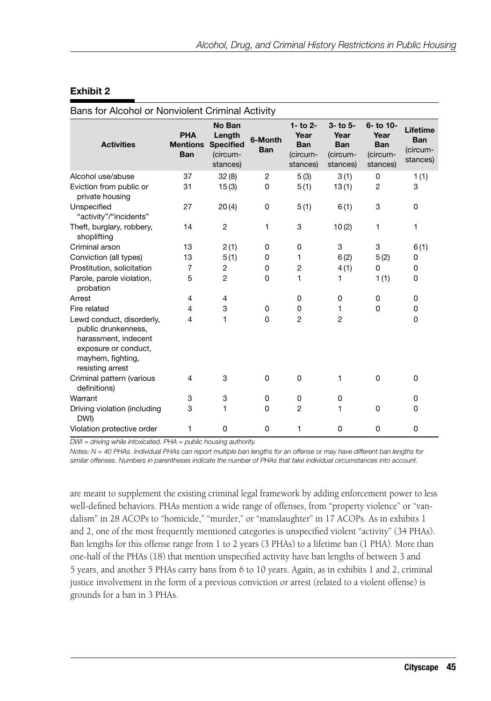### **Exhibit 2**

| Bans for Alcohol or Nonviolent Criminal Activity                                                                                          |                                             |                                                              |                       |                                                              |                                                        |                                                         |                                                |
|-------------------------------------------------------------------------------------------------------------------------------------------|---------------------------------------------|--------------------------------------------------------------|-----------------------|--------------------------------------------------------------|--------------------------------------------------------|---------------------------------------------------------|------------------------------------------------|
| <b>Activities</b>                                                                                                                         | <b>PHA</b><br><b>Mentions</b><br><b>Ban</b> | No Ban<br>Length<br><b>Specified</b><br>(circum-<br>stances) | 6-Month<br><b>Ban</b> | $1 -$ to $2 -$<br>Year<br><b>Ban</b><br>(circum-<br>stances) | 3- to 5-<br>Year<br><b>Ban</b><br>(circum-<br>stances) | 6- to 10-<br>Year<br><b>Ban</b><br>(circum-<br>stances) | Lifetime<br><b>Ban</b><br>(circum-<br>stances) |
| Alcohol use/abuse                                                                                                                         | 37                                          | 32(8)                                                        | $\overline{c}$        | 5(3)                                                         | 3(1)                                                   | 0                                                       | 1(1)                                           |
| Eviction from public or<br>private housing                                                                                                | 31                                          | 15(3)                                                        | 0                     | 5(1)                                                         | 13(1)                                                  | $\overline{c}$                                          | 3                                              |
| Unspecified<br>"activity"/"incidents"                                                                                                     | 27                                          | 20(4)                                                        | 0                     | 5(1)                                                         | 6(1)                                                   | 3                                                       | 0                                              |
| Theft, burglary, robbery,<br>shoplifting                                                                                                  | 14                                          | $\overline{c}$                                               | 1                     | 3                                                            | 10(2)                                                  | 1                                                       | 1                                              |
| Criminal arson                                                                                                                            | 13                                          | 2(1)                                                         | 0                     | 0                                                            | 3                                                      | 3                                                       | 6(1)                                           |
| Conviction (all types)                                                                                                                    | 13                                          | 5(1)                                                         | 0                     | 1                                                            | 6(2)                                                   | 5(2)                                                    | 0                                              |
| Prostitution, solicitation                                                                                                                | $\overline{7}$                              | $\overline{c}$                                               | 0                     | $\overline{c}$                                               | 4(1)                                                   | 0                                                       | 0                                              |
| Parole, parole violation,<br>probation                                                                                                    | 5                                           | $\overline{2}$                                               | 0                     | 1                                                            | 1                                                      | 1(1)                                                    | 0                                              |
| Arrest                                                                                                                                    | 4                                           | 4                                                            |                       | 0                                                            | 0                                                      | 0                                                       | 0                                              |
| Fire related                                                                                                                              | 4                                           | 3                                                            | 0                     | 0                                                            | 1                                                      | $\Omega$                                                | 0                                              |
| Lewd conduct, disorderly,<br>public drunkenness,<br>harassment, indecent<br>exposure or conduct,<br>mayhem, fighting,<br>resisting arrest | 4                                           | 1                                                            | 0                     | $\overline{2}$                                               | $\overline{2}$                                         |                                                         | 0                                              |
| Criminal pattern (various<br>definitions)                                                                                                 | 4                                           | 3                                                            | 0                     | $\Omega$                                                     | 1                                                      | $\Omega$                                                | 0                                              |
| Warrant                                                                                                                                   | 3                                           | 3                                                            | 0                     | 0                                                            | 0                                                      |                                                         | 0                                              |
| Driving violation (including<br>DWI)                                                                                                      | 3                                           | 1                                                            | 0                     | $\overline{2}$                                               | 1                                                      | 0                                                       | 0                                              |
| Violation protective order                                                                                                                | 1                                           | 0                                                            | 0                     | 1                                                            | 0                                                      | 0                                                       | 0                                              |

*DWI = driving while intoxicated. PHA = public housing authority.*

*Notes: N = 40 PHAs. Individual PHAs can report multiple ban lengths for an offense or may have different ban lengths for similar offenses. Numbers in parentheses indicate the number of PHAs that take individual circumstances into account.*

are meant to supplement the existing criminal legal framework by adding enforcement power to less well-defined behaviors. PHAs mention a wide range of offenses, from "property violence" or "vandalism" in 28 ACOPs to "homicide," "murder," or "manslaughter" in 17 ACOPs. As in exhibits 1 and 2, one of the most frequently mentioned categories is unspecified violent "activity" (34 PHAs). Ban lengths for this offense range from 1 to 2 years (3 PHAs) to a lifetime ban (1 PHA). More than one-half of the PHAs (18) that mention unspecified activity have ban lengths of between 3 and 5 years, and another 5 PHAs carry bans from 6 to 10 years. Again, as in exhibits 1 and 2, criminal justice involvement in the form of a previous conviction or arrest (related to a violent offense) is grounds for a ban in 3 PHAs.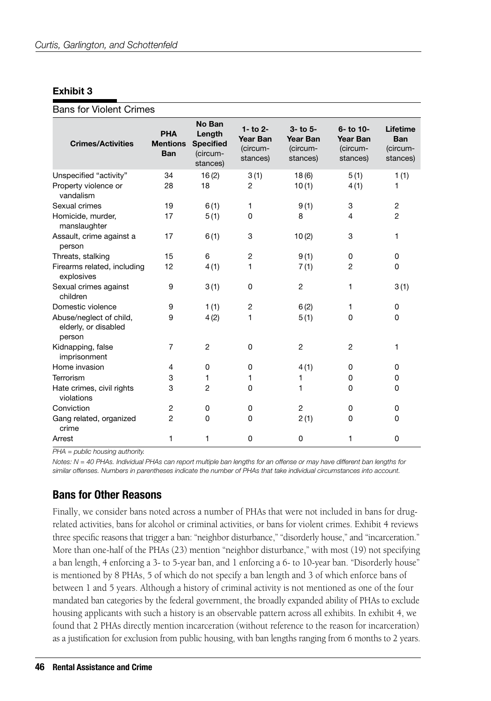### **Exhibit 3**

### Bans for Violent Crimes

| <b>Crimes/Activities</b>                                  | <b>PHA</b><br><b>Mentions</b><br><b>Ban</b> | No Ban<br>Length<br><b>Specified</b><br>(circum-<br>stances) | $1 -$ to $2 -$<br><b>Year Ban</b><br>(circum-<br>stances) | $3-$ to $5-$<br>Year Ban<br>(circum-<br>stances) | 6- to 10-<br><b>Year Ban</b><br>(circum-<br>stances) | Lifetime<br><b>Ban</b><br>(circum-<br>stances) |
|-----------------------------------------------------------|---------------------------------------------|--------------------------------------------------------------|-----------------------------------------------------------|--------------------------------------------------|------------------------------------------------------|------------------------------------------------|
| Unspecified "activity"                                    | 34                                          | 16(2)                                                        | 3(1)                                                      | 18(6)                                            | 5(1)                                                 | 1(1)                                           |
| Property violence or<br>vandalism                         | 28                                          | 18                                                           | 2                                                         | 10(1)                                            | 4(1)                                                 | 1                                              |
| Sexual crimes                                             | 19                                          | 6(1)                                                         | 1                                                         | 9(1)                                             | 3                                                    | $\overline{c}$                                 |
| Homicide, murder,<br>manslaughter                         | 17                                          | 5(1)                                                         | $\Omega$                                                  | 8                                                | 4                                                    | $\overline{2}$                                 |
| Assault, crime against a<br>person                        | 17                                          | 6(1)                                                         | 3                                                         | 10(2)                                            | 3                                                    | 1                                              |
| Threats, stalking                                         | 15                                          | 6                                                            | $\overline{c}$                                            | 9(1)                                             | $\Omega$                                             | $\Omega$                                       |
| Firearms related, including<br>explosives                 | 12                                          | 4(1)                                                         | 1                                                         | 7(1)                                             | 2                                                    | 0                                              |
| Sexual crimes against<br>children                         | 9                                           | 3(1)                                                         | 0                                                         | 2                                                | 1                                                    | 3(1)                                           |
| Domestic violence                                         | 9                                           | 1(1)                                                         | 2                                                         | 6(2)                                             | 1                                                    | 0                                              |
| Abuse/neglect of child,<br>elderly, or disabled<br>person | 9                                           | 4(2)                                                         | 1                                                         | 5(1)                                             | 0                                                    | 0                                              |
| Kidnapping, false<br>imprisonment                         | $\overline{7}$                              | $\overline{2}$                                               | $\Omega$                                                  | $\overline{2}$                                   | $\overline{2}$                                       | 1                                              |
| Home invasion                                             | 4                                           | 0                                                            | 0                                                         | 4(1)                                             | 0                                                    | 0                                              |
| Terrorism                                                 | 3                                           | 1                                                            | 1                                                         | 1                                                | 0                                                    | 0                                              |
| Hate crimes, civil rights<br>violations                   | 3                                           | $\overline{2}$                                               | 0                                                         | 1                                                | 0                                                    | 0                                              |
| Conviction                                                | $\overline{c}$                              | 0                                                            | 0                                                         | $\overline{2}$                                   | 0                                                    | 0                                              |
| Gang related, organized<br>crime                          | $\overline{2}$                              | 0                                                            | 0                                                         | 2(1)                                             | 0                                                    | 0                                              |
| Arrest                                                    | 1                                           | 1                                                            | 0                                                         | 0                                                | 1                                                    | 0                                              |

*PHA = public housing authority.*

*Notes: N = 40 PHAs. Individual PHAs can report multiple ban lengths for an offense or may have different ban lengths for similar offenses. Numbers in parentheses indicate the number of PHAs that take individual circumstances into account.*

### **Bans for Other Reasons**

Finally, we consider bans noted across a number of PHAs that were not included in bans for drugrelated activities, bans for alcohol or criminal activities, or bans for violent crimes. Exhibit 4 reviews three specific reasons that trigger a ban: "neighbor disturbance," "disorderly house," and "incarceration." More than one-half of the PHAs (23) mention "neighbor disturbance," with most (19) not specifying a ban length, 4 enforcing a 3- to 5-year ban, and 1 enforcing a 6- to 10-year ban. "Disorderly house" is mentioned by 8 PHAs, 5 of which do not specify a ban length and 3 of which enforce bans of between 1 and 5 years. Although a history of criminal activity is not mentioned as one of the four mandated ban categories by the federal government, the broadly expanded ability of PHAs to exclude housing applicants with such a history is an observable pattern across all exhibits. In exhibit 4, we found that 2 PHAs directly mention incarceration (without reference to the reason for incarceration) as a justification for exclusion from public housing, with ban lengths ranging from 6 months to 2 years.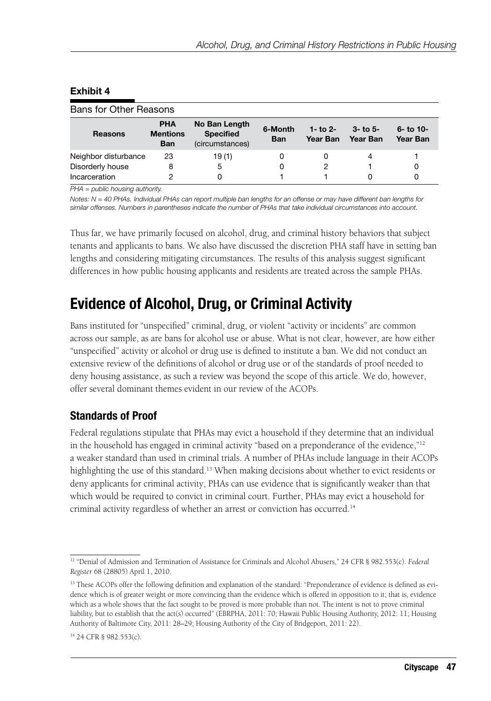| Bans for Other Reasons |                                             |                                                      |                       |                        |                          |                          |
|------------------------|---------------------------------------------|------------------------------------------------------|-----------------------|------------------------|--------------------------|--------------------------|
| <b>Reasons</b>         | <b>PHA</b><br><b>Mentions</b><br><b>Ban</b> | No Ban Length<br><b>Specified</b><br>(circumstances) | 6-Month<br><b>Ban</b> | 1- to $2-$<br>Year Ban | $3 - 10.5 -$<br>Year Ban | $6 -$ to 10-<br>Year Ban |
| Neighbor disturbance   | 23                                          | 19(1)                                                | 0                     | 0                      | 4                        |                          |
| Disorderly house       | 8                                           | 5                                                    | 0                     | 2                      |                          | 0                        |
| Incarceration          | 2                                           | 0                                                    |                       |                        |                          | 0                        |

### **Exhibit 4**

*PHA = public housing authority.*

*Notes: N = 40 PHAs. Individual PHAs can report multiple ban lengths for an offense or may have different ban lengths for similar offenses. Numbers in parentheses indicate the number of PHAs that take individual circumstances into account.*

Thus far, we have primarily focused on alcohol, drug, and criminal history behaviors that subject tenants and applicants to bans. We also have discussed the discretion PHA staff have in setting ban lengths and considering mitigating circumstances. The results of this analysis suggest significant differences in how public housing applicants and residents are treated across the sample PHAs.

## **Evidence of Alcohol, Drug, or Criminal Activity**

Bans instituted for "unspecified" criminal, drug, or violent "activity or incidents" are common across our sample, as are bans for alcohol use or abuse. What is not clear, however, are how either "unspecified" activity or alcohol or drug use is defined to institute a ban. We did not conduct an extensive review of the definitions of alcohol or drug use or of the standards of proof needed to deny housing assistance, as such a review was beyond the scope of this article. We do, however, offer several dominant themes evident in our review of the ACOPs.

### **Standards of Proof**

Federal regulations stipulate that PHAs may evict a household if they determine that an individual in the household has engaged in criminal activity "based on a preponderance of the evidence," $12$ a weaker standard than used in criminal trials. A number of PHAs include language in their ACOPs highlighting the use of this standard.<sup>13</sup> When making decisions about whether to evict residents or deny applicants for criminal activity, PHAs can use evidence that is significantly weaker than that which would be required to convict in criminal court. Further, PHAs may evict a household for criminal activity regardless of whether an arrest or conviction has occurred.<sup>14</sup>

<sup>&</sup>lt;sup>12</sup> "Denial of Admission and Termination of Assistance for Criminals and Alcohol Abusers," 24 CFR § 982.553(c). *Federal Register* 68 (28805) April 1, 2010.

<sup>&</sup>lt;sup>13</sup> These ACOPs offer the following definition and explanation of the standard: "Preponderance of evidence is defined as evidence which is of greater weight or more convincing than the evidence which is offered in opposition to it; that is, evidence which as a whole shows that the fact sought to be proved is more probable than not. The intent is not to prove criminal liability, but to establish that the act(s) occurred" (EBRPHA, 2011: 70; Hawaii Public Housing Authority, 2012: 11; Housing Authority of Baltimore City, 2011: 28–29; Housing Authority of the City of Bridgeport, 2011: 22).

<sup>14 24</sup> CFR § 982.553(c).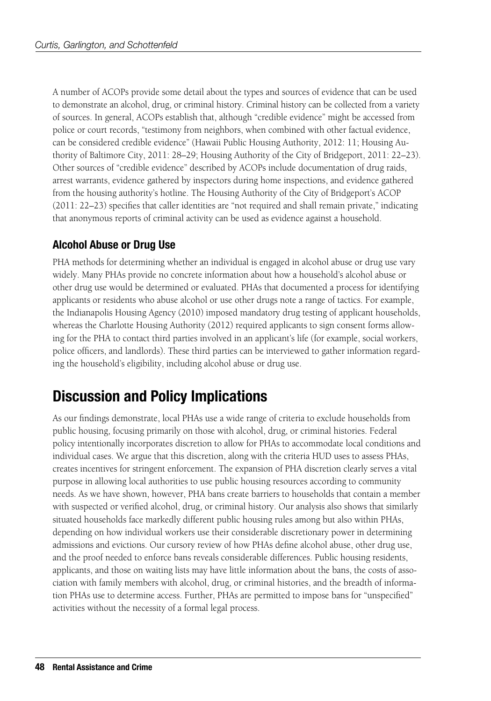A number of ACOPs provide some detail about the types and sources of evidence that can be used to demonstrate an alcohol, drug, or criminal history. Criminal history can be collected from a variety of sources. In general, ACOPs establish that, although "credible evidence" might be accessed from police or court records, "testimony from neighbors, when combined with other factual evidence, can be considered credible evidence" (Hawaii Public Housing Authority, 2012: 11; Housing Authority of Baltimore City, 2011: 28–29; Housing Authority of the City of Bridgeport, 2011: 22–23). Other sources of "credible evidence" described by ACOPs include documentation of drug raids, arrest warrants, evidence gathered by inspectors during home inspections, and evidence gathered from the housing authority's hotline. The Housing Authority of the City of Bridgeport's ACOP (2011: 22–23) specifies that caller identities are "not required and shall remain private," indicating that anonymous reports of criminal activity can be used as evidence against a household.

### **Alcohol Abuse or Drug Use**

PHA methods for determining whether an individual is engaged in alcohol abuse or drug use vary widely. Many PHAs provide no concrete information about how a household's alcohol abuse or other drug use would be determined or evaluated. PHAs that documented a process for identifying applicants or residents who abuse alcohol or use other drugs note a range of tactics. For example, the Indianapolis Housing Agency (2010) imposed mandatory drug testing of applicant households, whereas the Charlotte Housing Authority (2012) required applicants to sign consent forms allowing for the PHA to contact third parties involved in an applicant's life (for example, social workers, police officers, and landlords). These third parties can be interviewed to gather information regarding the household's eligibility, including alcohol abuse or drug use.

## **Discussion and Policy Implications**

As our findings demonstrate, local PHAs use a wide range of criteria to exclude households from public housing, focusing primarily on those with alcohol, drug, or criminal histories. Federal policy intentionally incorporates discretion to allow for PHAs to accommodate local conditions and individual cases. We argue that this discretion, along with the criteria HUD uses to assess PHAs, creates incentives for stringent enforcement. The expansion of PHA discretion clearly serves a vital purpose in allowing local authorities to use public housing resources according to community needs. As we have shown, however, PHA bans create barriers to households that contain a member with suspected or verified alcohol, drug, or criminal history. Our analysis also shows that similarly situated households face markedly different public housing rules among but also within PHAs, depending on how individual workers use their considerable discretionary power in determining admissions and evictions. Our cursory review of how PHAs define alcohol abuse, other drug use, and the proof needed to enforce bans reveals considerable differences. Public housing residents, applicants, and those on waiting lists may have little information about the bans, the costs of association with family members with alcohol, drug, or criminal histories, and the breadth of information PHAs use to determine access. Further, PHAs are permitted to impose bans for "unspecified" activities without the necessity of a formal legal process.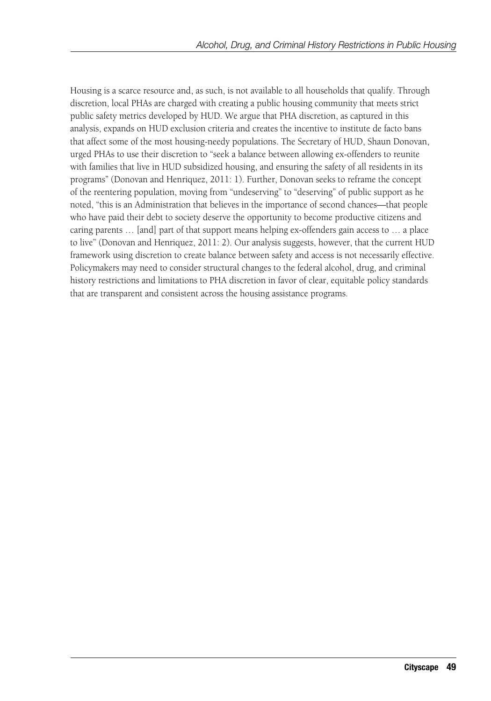Housing is a scarce resource and, as such, is not available to all households that qualify. Through discretion, local PHAs are charged with creating a public housing community that meets strict public safety metrics developed by HUD. We argue that PHA discretion, as captured in this analysis, expands on HUD exclusion criteria and creates the incentive to institute de facto bans that affect some of the most housing-needy populations. The Secretary of HUD, Shaun Donovan, urged PHAs to use their discretion to "seek a balance between allowing ex-offenders to reunite with families that live in HUD subsidized housing, and ensuring the safety of all residents in its programs" (Donovan and Henriquez, 2011: 1). Further, Donovan seeks to reframe the concept of the reentering population, moving from "undeserving" to "deserving" of public support as he noted, "this is an Administration that believes in the importance of second chances—that people who have paid their debt to society deserve the opportunity to become productive citizens and caring parents … [and] part of that support means helping ex-offenders gain access to … a place to live" (Donovan and Henriquez, 2011: 2). Our analysis suggests, however, that the current HUD framework using discretion to create balance between safety and access is not necessarily effective. Policymakers may need to consider structural changes to the federal alcohol, drug, and criminal history restrictions and limitations to PHA discretion in favor of clear, equitable policy standards that are transparent and consistent across the housing assistance programs.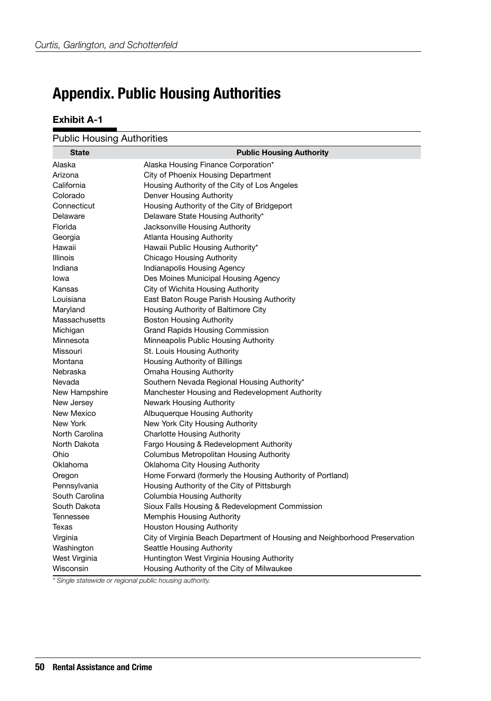## **Appendix. Public Housing Authorities**

### **Exhibit A-1**

| <b>State</b>    | <b>Public Housing Authority</b>                                            |
|-----------------|----------------------------------------------------------------------------|
| Alaska          | Alaska Housing Finance Corporation*                                        |
| Arizona         | City of Phoenix Housing Department                                         |
| California      | Housing Authority of the City of Los Angeles                               |
| Colorado        | Denver Housing Authority                                                   |
| Connecticut     | Housing Authority of the City of Bridgeport                                |
| Delaware        | Delaware State Housing Authority*                                          |
| Florida         | Jacksonville Housing Authority                                             |
| Georgia         | <b>Atlanta Housing Authority</b>                                           |
| Hawaii          | Hawaii Public Housing Authority*                                           |
| <b>Illinois</b> | Chicago Housing Authority                                                  |
| Indiana         | Indianapolis Housing Agency                                                |
| lowa            | Des Moines Municipal Housing Agency                                        |
| Kansas          | City of Wichita Housing Authority                                          |
| Louisiana       | East Baton Rouge Parish Housing Authority                                  |
| Maryland        | Housing Authority of Baltimore City                                        |
| Massachusetts   | <b>Boston Housing Authority</b>                                            |
| Michigan        | <b>Grand Rapids Housing Commission</b>                                     |
| Minnesota       | Minneapolis Public Housing Authority                                       |
| Missouri        | St. Louis Housing Authority                                                |
| Montana         | Housing Authority of Billings                                              |
| Nebraska        | Omaha Housing Authority                                                    |
| Nevada          | Southern Nevada Regional Housing Authority*                                |
| New Hampshire   | Manchester Housing and Redevelopment Authority                             |
| New Jersey      | Newark Housing Authority                                                   |
| New Mexico      | Albuquerque Housing Authority                                              |
| New York        | New York City Housing Authority                                            |
| North Carolina  | <b>Charlotte Housing Authority</b>                                         |
| North Dakota    | Fargo Housing & Redevelopment Authority                                    |
| Ohio            | Columbus Metropolitan Housing Authority                                    |
| Oklahoma        | Oklahoma City Housing Authority                                            |
| Oregon          | Home Forward (formerly the Housing Authority of Portland)                  |
| Pennsylvania    | Housing Authority of the City of Pittsburgh                                |
| South Carolina  | Columbia Housing Authority                                                 |
| South Dakota    | Sioux Falls Housing & Redevelopment Commission                             |
| Tennessee       | <b>Memphis Housing Authority</b>                                           |
| Texas           | <b>Houston Housing Authority</b>                                           |
| Virginia        | City of Virginia Beach Department of Housing and Neighborhood Preservation |
| Washington      | Seattle Housing Authority                                                  |
| West Virginia   | Huntington West Virginia Housing Authority                                 |
| Wisconsin       | Housing Authority of the City of Milwaukee                                 |

*\* Single statewide or regional public housing authority.*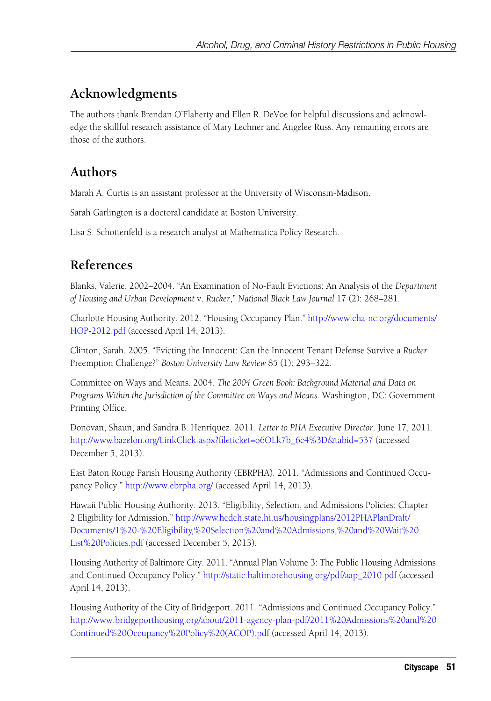## **Acknowledgments**

The authors thank Brendan O'Flaherty and Ellen R. DeVoe for helpful discussions and acknowledge the skillful research assistance of Mary Lechner and Angelee Russ. Any remaining errors are those of the authors.

## **Authors**

Marah A. Curtis is an assistant professor at the University of Wisconsin-Madison.

Sarah Garlington is a doctoral candidate at Boston University.

Lisa S. Schottenfeld is a research analyst at Mathematica Policy Research.

### **References**

Blanks, Valerie. 2002–2004. "An Examination of No-Fault Evictions: An Analysis of the *Department of Housing and Urban Development* v. *Rucker*," *National Black Law Journal* 17 (2): 268–281.

Charlotte Housing Authority. 2012. "Housing Occupancy Plan." [http://www.cha-nc.org/documents/](http://www.cha-nc.org/documents/HOP-2012.pdf) [HOP-2012.pdf](http://www.cha-nc.org/documents/HOP-2012.pdf) (accessed April 14, 2013).

Clinton, Sarah. 2005. "Evicting the Innocent: Can the Innocent Tenant Defense Survive a *Rucker* Preemption Challenge?" *Boston University Law Review* 85 (1): 293–322.

Committee on Ways and Means. 2004. *The 2004 Green Book: Background Material and Data on Programs Within the Jurisdiction of the Committee on Ways and Means*. Washington, DC: Government Printing Office.

Donovan, Shaun, and Sandra B. Henriquez. 2011. *Letter to PHA Executive Director*. June 17, 2011. [http://www.bazelon.org/LinkClick.aspx?fileticket=o6OLk7b\\_6c4%3D&tabid=537](http://www.bazelon.org/LinkClick.aspx?fileticket=o6OLk7b_6c4%3D&tabid=537) (accessed December 5, 2013).

East Baton Rouge Parish Housing Authority (EBRPHA). 2011. "Admissions and Continued Occupancy Policy."<http://www.ebrpha.org/>(accessed April 14, 2013).

Hawaii Public Housing Authority. 2013. "Eligibility, Selection, and Admissions Policies: Chapter 2 Eligibility for Admission." [http://www.hcdch.state.hi.us/housingplans/2012PHAPlanDraft/](http://www.hcdch.state.hi.us/housingplans/2012PHAPlanDraft/Documents/1%20-%20Eligibility,%20Selection%20and%20Admissions,%20and%20Wait%20List%20Policies.pdf) [Documents/1%20-%20Eligibility,%20Selection%20and%20Admissions,%20and%20Wait%20](http://www.hcdch.state.hi.us/housingplans/2012PHAPlanDraft/Documents/1%20-%20Eligibility,%20Selection%20and%20Admissions,%20and%20Wait%20List%20Policies.pdf) [List%20Policies.pdf](http://www.hcdch.state.hi.us/housingplans/2012PHAPlanDraft/Documents/1%20-%20Eligibility,%20Selection%20and%20Admissions,%20and%20Wait%20List%20Policies.pdf) (accessed December 5, 2013).

Housing Authority of Baltimore City. 2011. "Annual Plan Volume 3: The Public Housing Admissions and Continued Occupancy Policy." [http://static.baltimorehousing.org/pdf/aap\\_2010.pdf](http://static.baltimorehousing.org/pdf/aap_2010.pdf) (accessed April 14, 2013).

Housing Authority of the City of Bridgeport. 2011. "Admissions and Continued Occupancy Policy." [http://www.bridgeporthousing.org/about/2011-agency-plan-pdf/2011%20Admissions%20and%20](http://www.bridgeporthousing.org/about/2011-agency-plan-pdf/2011 Admissions and Continued Occupancy Policy (ACOP).pdf) [Continued%20Occupancy%20Policy%20\(ACOP\).pdf](http://www.bridgeporthousing.org/about/2011-agency-plan-pdf/2011 Admissions and Continued Occupancy Policy (ACOP).pdf) (accessed April 14, 2013).